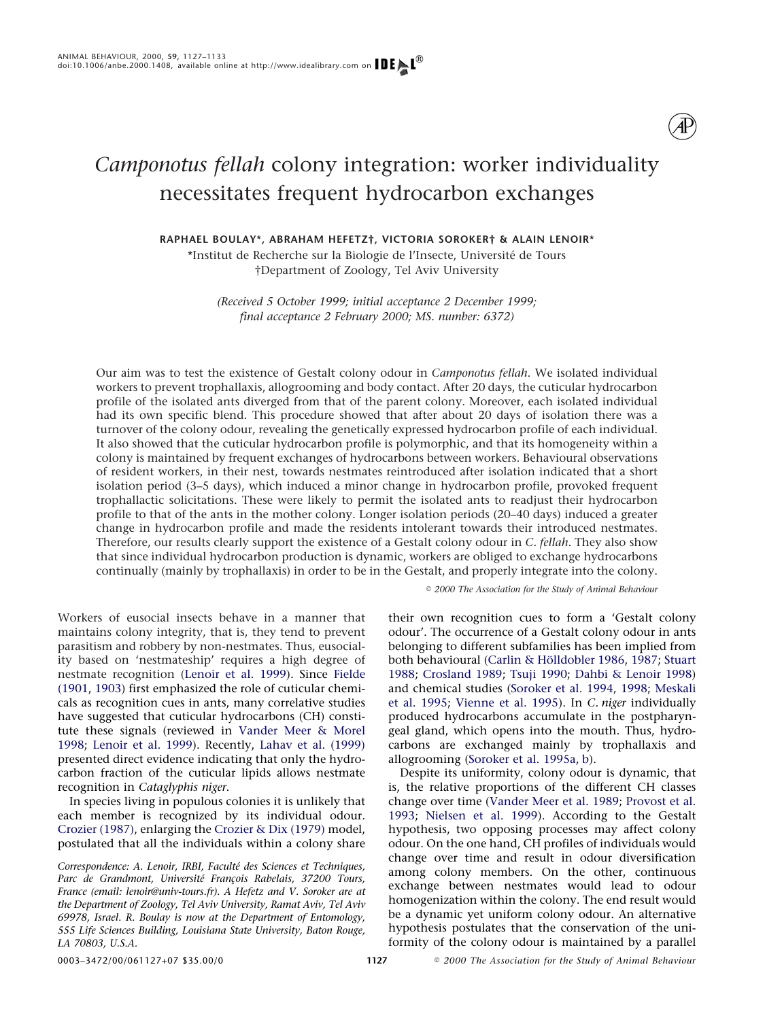# *Camponotus fellah* colony integration: worker individuality necessitates frequent hydrocarbon exchanges

**RAPHAEL BOULAY\*, ABRAHAM HEFETZ†, VICTORIA SOROKER† & ALAIN LENOIR\***

\*Institut de Recherche sur la Biologie de l'Insecte, Université de Tours †Department of Zoology, Tel Aviv University

*(Received 5 October 1999; initial acceptance 2 December 1999; final acceptance 2 February 2000; MS. number: 6372)*

Our aim was to test the existence of Gestalt colony odour in *Camponotus fellah*. We isolated individual workers to prevent trophallaxis, allogrooming and body contact. After 20 days, the cuticular hydrocarbon profile of the isolated ants diverged from that of the parent colony. Moreover, each isolated individual had its own specific blend. This procedure showed that after about 20 days of isolation there was a turnover of the colony odour, revealing the genetically expressed hydrocarbon profile of each individual. It also showed that the cuticular hydrocarbon profile is polymorphic, and that its homogeneity within a colony is maintained by frequent exchanges of hydrocarbons between workers. Behavioural observations of resident workers, in their nest, towards nestmates reintroduced after isolation indicated that a short isolation period (3–5 days), which induced a minor change in hydrocarbon profile, provoked frequent trophallactic solicitations. These were likely to permit the isolated ants to readjust their hydrocarbon profile to that of the ants in the mother colony. Longer isolation periods (20–40 days) induced a greater change in hydrocarbon profile and made the residents intolerant towards their introduced nestmates. Therefore, our results clearly support the existence of a Gestalt colony odour in *C. fellah*. They also show that since individual hydrocarbon production is dynamic, workers are obliged to exchange hydrocarbons continually (mainly by trophallaxis) in order to be in the Gestalt, and properly integrate into the colony.

*2000 The Association for the Study of Animal Behaviour*

Workers of eusocial insects behave in a manner that maintains colony integrity, that is, they tend to prevent parasitism and robbery by non-nestmates. Thus, eusociality based on 'nestmateship' requires a high degree of nestmate recognition [\(Lenoir et al. 1999\)](#page-6-0). Since [Fielde](#page-5-0) [\(1901,](#page-5-0) [1903\)](#page-6-1) first emphasized the role of cuticular chemicals as recognition cues in ants, many correlative studies have suggested that cuticular hydrocarbons (CH) constitute these signals (reviewed in [Vander Meer & Morel](#page-6-2) [1998;](#page-6-2) [Lenoir et al. 1999\)](#page-6-0). Recently, [Lahav et al. \(1999\)](#page-6-3) presented direct evidence indicating that only the hydrocarbon fraction of the cuticular lipids allows nestmate recognition in *Cataglyphis niger*.

In species living in populous colonies it is unlikely that each member is recognized by its individual odour. [Crozier \(1987\),](#page-5-1) enlarging the [Crozier & Dix \(1979\)](#page-5-2) model, postulated that all the individuals within a colony share

*Correspondence: A. Lenoir, IRBI, Faculte´ des Sciences et Techniques,* Parc de Grandmont, Université François Rabelais, 37200 Tours, *France (email: lenoir@univ-tours.fr). A Hefetz and V. Soroker are at the Department of Zoology, Tel Aviv University, Ramat Aviv, Tel Aviv 69978, Israel. R. Boulay is now at the Department of Entomology, 555 Life Sciences Building, Louisiana State University, Baton Rouge, LA 70803, U.S.A.*

their own recognition cues to form a 'Gestalt colony odour'. The occurrence of a Gestalt colony odour in ants belonging to different subfamilies has been implied from both behavioural (Carlin & Hölldobler 1986, [1987;](#page-5-4) [Stuart](#page-6-4) [1988;](#page-6-4) [Crosland 1989;](#page-5-5) [Tsuji 1990;](#page-6-5) [Dahbi & Lenoir 1998\)](#page-5-6) and chemical studies [\(Soroker et al. 1994,](#page-6-6) [1998;](#page-6-7) [Meskali](#page-6-8) [et al. 1995;](#page-6-8) [Vienne et al. 1995\)](#page-6-9). In *C. niger* individually produced hydrocarbons accumulate in the postpharyngeal gland, which opens into the mouth. Thus, hydrocarbons are exchanged mainly by trophallaxis and allogrooming [\(Soroker et al. 1995a,](#page-6-10) [b\)](#page-6-11).

Despite its uniformity, colony odour is dynamic, that is, the relative proportions of the different CH classes change over time [\(Vander Meer et al. 1989;](#page-6-12) [Provost et al.](#page-6-13) [1993;](#page-6-13) [Nielsen et al. 1999\)](#page-6-14). According to the Gestalt hypothesis, two opposing processes may affect colony odour. On the one hand, CH profiles of individuals would change over time and result in odour diversification among colony members. On the other, continuous exchange between nestmates would lead to odour homogenization within the colony. The end result would be a dynamic yet uniform colony odour. An alternative hypothesis postulates that the conservation of the uniformity of the colony odour is maintained by a parallel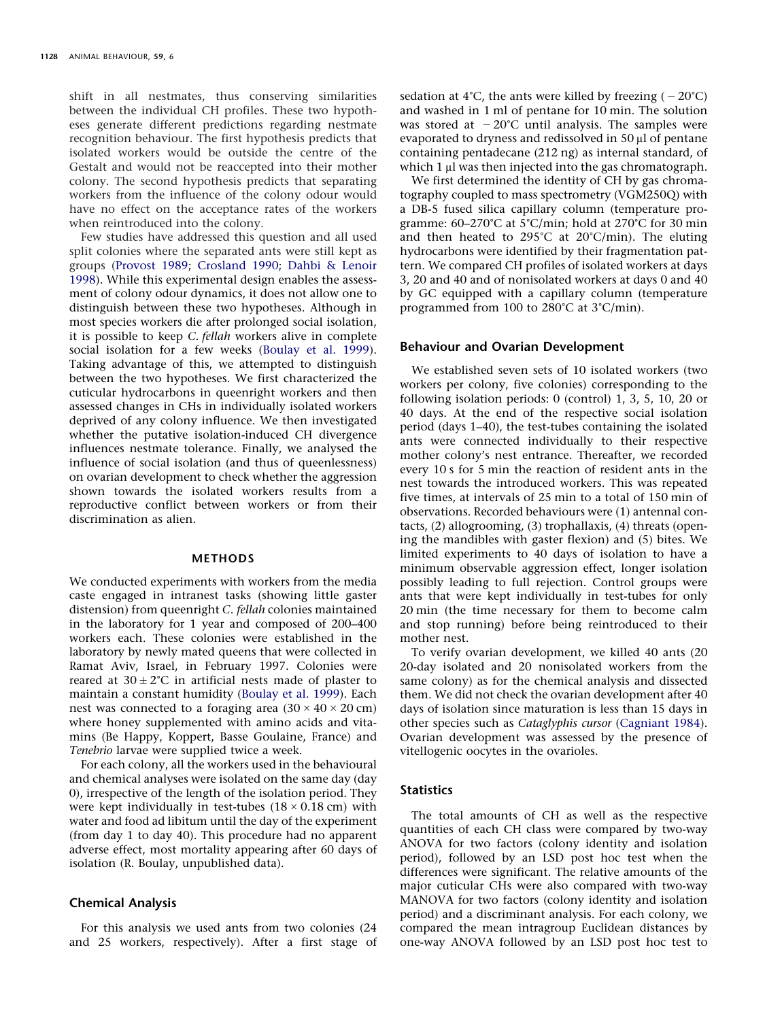shift in all nestmates, thus conserving similarities between the individual CH profiles. These two hypotheses generate different predictions regarding nestmate recognition behaviour. The first hypothesis predicts that isolated workers would be outside the centre of the Gestalt and would not be reaccepted into their mother colony. The second hypothesis predicts that separating workers from the influence of the colony odour would have no effect on the acceptance rates of the workers when reintroduced into the colony.

Few studies have addressed this question and all used split colonies where the separated ants were still kept as groups [\(Provost 1989;](#page-6-15) [Crosland 1990;](#page-5-7) [Dahbi & Lenoir](#page-5-6) [1998\)](#page-5-6). While this experimental design enables the assessment of colony odour dynamics, it does not allow one to distinguish between these two hypotheses. Although in most species workers die after prolonged social isolation, it is possible to keep *C. fellah* workers alive in complete social isolation for a few weeks [\(Boulay et al. 1999\)](#page-5-8). Taking advantage of this, we attempted to distinguish between the two hypotheses. We first characterized the cuticular hydrocarbons in queenright workers and then assessed changes in CHs in individually isolated workers deprived of any colony influence. We then investigated whether the putative isolation-induced CH divergence influences nestmate tolerance. Finally, we analysed the influence of social isolation (and thus of queenlessness) on ovarian development to check whether the aggression shown towards the isolated workers results from a reproductive conflict between workers or from their discrimination as alien.

### **METHODS**

We conducted experiments with workers from the media caste engaged in intranest tasks (showing little gaster distension) from queenright *C. fellah* colonies maintained in the laboratory for 1 year and composed of 200–400 workers each. These colonies were established in the laboratory by newly mated queens that were collected in Ramat Aviv, Israel, in February 1997. Colonies were reared at  $30 \pm 2^{\circ}$ C in artificial nests made of plaster to maintain a constant humidity [\(Boulay et al. 1999\)](#page-5-8). Each nest was connected to a foraging area  $(30 \times 40 \times 20 \text{ cm})$ where honey supplemented with amino acids and vitamins (Be Happy, Koppert, Basse Goulaine, France) and *Tenebrio* larvae were supplied twice a week.

For each colony, all the workers used in the behavioural and chemical analyses were isolated on the same day (day 0), irrespective of the length of the isolation period. They were kept individually in test-tubes  $(18 \times 0.18 \text{ cm})$  with water and food ad libitum until the day of the experiment (from day 1 to day 40). This procedure had no apparent adverse effect, most mortality appearing after 60 days of isolation (R. Boulay, unpublished data).

## **Chemical Analysis**

For this analysis we used ants from two colonies (24 and 25 workers, respectively). After a first stage of

sedation at 4°C, the ants were killed by freezing ( – 20°C) and washed in 1 ml of pentane for 10 min. The solution was stored at  $-20^{\circ}\textrm{C}$  until analysis. The samples were evaporated to dryness and redissolved in  $50 \mu$  of pentane containing pentadecane (212 ng) as internal standard, of which  $1 \mu$  was then injected into the gas chromatograph.

We first determined the identity of CH by gas chromatography coupled to mass spectrometry (VGM250Q) with a DB-5 fused silica capillary column (temperature programme: 60–270°C at 5°C/min; hold at 270°C for 30 min and then heated to 295°C at 20°C/min). The eluting hydrocarbons were identified by their fragmentation pattern. We compared CH profiles of isolated workers at days 3, 20 and 40 and of nonisolated workers at days 0 and 40 by GC equipped with a capillary column (temperature programmed from 100 to 280°C at 3°C/min).

# **Behaviour and Ovarian Development**

We established seven sets of 10 isolated workers (two workers per colony, five colonies) corresponding to the following isolation periods: 0 (control) 1, 3, 5, 10, 20 or 40 days. At the end of the respective social isolation period (days 1–40), the test-tubes containing the isolated ants were connected individually to their respective mother colony's nest entrance. Thereafter, we recorded every 10 s for 5 min the reaction of resident ants in the nest towards the introduced workers. This was repeated five times, at intervals of 25 min to a total of 150 min of observations. Recorded behaviours were (1) antennal contacts, (2) allogrooming, (3) trophallaxis, (4) threats (opening the mandibles with gaster flexion) and (5) bites. We limited experiments to 40 days of isolation to have a minimum observable aggression effect, longer isolation possibly leading to full rejection. Control groups were ants that were kept individually in test-tubes for only 20 min (the time necessary for them to become calm and stop running) before being reintroduced to their mother nest.

To verify ovarian development, we killed 40 ants (20 20-day isolated and 20 nonisolated workers from the same colony) as for the chemical analysis and dissected them. We did not check the ovarian development after 40 days of isolation since maturation is less than 15 days in other species such as *Cataglyphis cursor* [\(Cagniant 1984\)](#page-5-9). Ovarian development was assessed by the presence of vitellogenic oocytes in the ovarioles.

## **Statistics**

The total amounts of CH as well as the respective quantities of each CH class were compared by two-way ANOVA for two factors (colony identity and isolation period), followed by an LSD post hoc test when the differences were significant. The relative amounts of the major cuticular CHs were also compared with two-way MANOVA for two factors (colony identity and isolation period) and a discriminant analysis. For each colony, we compared the mean intragroup Euclidean distances by one-way ANOVA followed by an LSD post hoc test to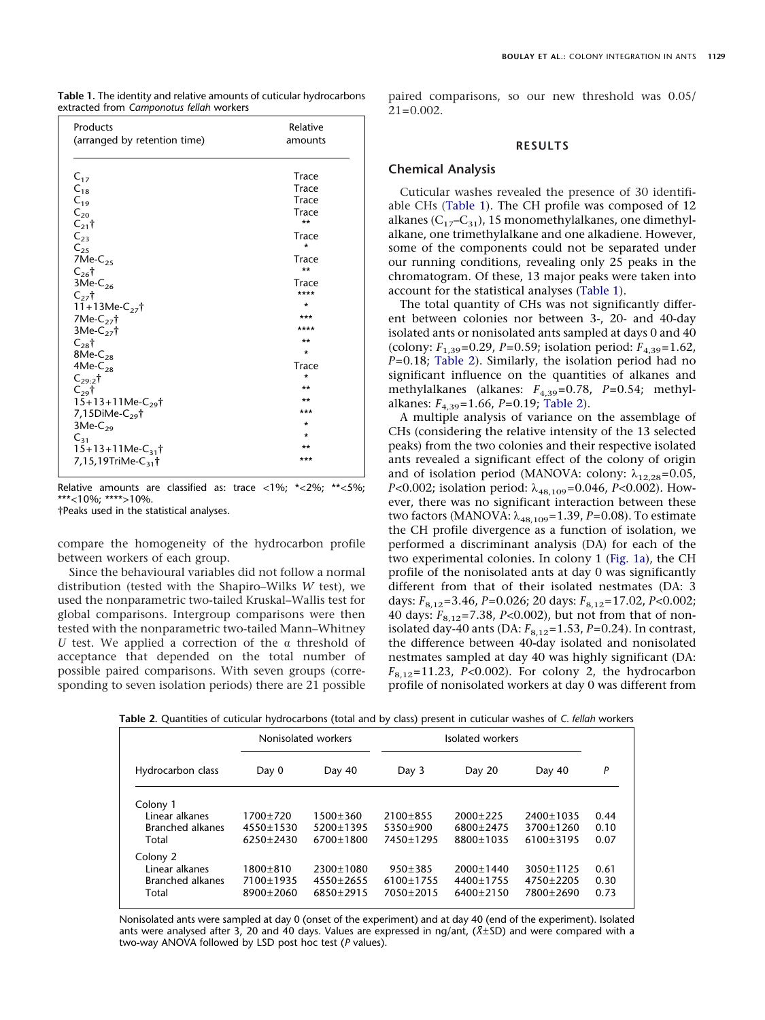<span id="page-2-0"></span>

| Products                                   | Relative |
|--------------------------------------------|----------|
| (arranged by retention time)               | amounts  |
| $C_{17}$                                   | Trace    |
| $C_{18}$                                   | Trace    |
| $C_{19}$                                   | Trace    |
| $C_{20}$                                   | Trace    |
| $C_{21}$ <sup>+</sup>                      | $***$    |
| $C_{23}$                                   | Trace    |
| $C_{25}$                                   | $\star$  |
| 7Me- $C_{25}$                              | Trace    |
| $C_{26}$ †                                 | $***$    |
| $3Me-C26$                                  | Trace    |
| $C_{27}$ t                                 | ****     |
| $11+13Me-C_{27}$                           | ÷        |
| 7Me- $C_{27}$ †                            | ***      |
| $3Me-C_{27}$ †                             | ****     |
| $C_{28}$ †                                 | $***$    |
| $8Me-C28$                                  | $\star$  |
| $4Me-C28$                                  | Trace    |
| $C_{29.2}$ †                               | $\star$  |
| $C_{29}$ †                                 | $***$    |
| $15+13+11$ Me-C <sub>29</sub> <sup>†</sup> | **       |
| 7,15DiMe- $C_{29}$ †                       | ***      |
| $3Me-C29$                                  | $\star$  |
| $C_{31}$                                   | $\star$  |
| $15+13+11$ Me-C <sub>31</sub> †            | **       |
| 7,15,19TriMe-C <sub>31</sub> †             | ***      |

Relative amounts are classified as: trace <1%;  $*$  <2%;  $*$  <5%; \*\*\*<10%; \*\*\*\*>10%.

†Peaks used in the statistical analyses.

compare the homogeneity of the hydrocarbon profile between workers of each group.

Since the behavioural variables did not follow a normal distribution (tested with the Shapiro–Wilks *W* test), we used the nonparametric two-tailed Kruskal–Wallis test for global comparisons. Intergroup comparisons were then tested with the nonparametric two-tailed Mann–Whitney U test. We applied a correction of the  $\alpha$  threshold of acceptance that depended on the total number of possible paired comparisons. With seven groups (corresponding to seven isolation periods) there are 21 possible paired comparisons, so our new threshold was 0.05/ 21=0.002.

## **RESULTS**

#### **Chemical Analysis**

Cuticular washes revealed the presence of 30 identifiable CHs [\(Table 1\)](#page-2-0). The CH profile was composed of 12 alkanes ( $C_{17}-C_{31}$ ), 15 monomethylalkanes, one dimethylalkane, one trimethylalkane and one alkadiene. However, some of the components could not be separated under our running conditions, revealing only 25 peaks in the chromatogram. Of these, 13 major peaks were taken into account for the statistical analyses [\(Table 1\)](#page-2-0).

The total quantity of CHs was not significantly different between colonies nor between 3-, 20- and 40-day isolated ants or nonisolated ants sampled at days 0 and 40 (colony: *F*1,39=0.29, *P*=0.59; isolation period: *F*4,39=1.62, *P*=0.18; [Table 2\)](#page-2-1). Similarly, the isolation period had no significant influence on the quantities of alkanes and methylalkanes (alkanes:  $F_{4,39}$ =0.78,  $P$ =0.54; methylalkanes: *F*4,39=1.66, *P*=0.19; [Table 2\)](#page-2-1).

A multiple analysis of variance on the assemblage of CHs (considering the relative intensity of the 13 selected peaks) from the two colonies and their respective isolated ants revealed a significant effect of the colony of origin and of isolation period (MANOVA: colony:  $\lambda_{12.28}$ =0.05, *P*<0.002; isolation period:  $λ_{48,109}$ =0.046, *P*<0.002). However, there was no significant interaction between these two factors (MANOVA:  $\lambda_{48,109}$ =1.39, *P*=0.08). To estimate the CH profile divergence as a function of isolation, we performed a discriminant analysis (DA) for each of the two experimental colonies. In colony 1 [\(Fig. 1a\)](#page-3-0), the CH profile of the nonisolated ants at day 0 was significantly different from that of their isolated nestmates (DA: 3 days: *F*8,12=3.46, *P*=0.026; 20 days: *F*8,12=17.02, *P<*0.002; 40 days: *F*8,12=7.38, *P<*0.002), but not from that of nonisolated day-40 ants (DA:  $F_{8,12}$ =1.53, *P*=0.24). In contrast, the difference between 40-day isolated and nonisolated nestmates sampled at day 40 was highly significant (DA: *F*8,12=11.23, *P<*0.002). For colony 2, the hydrocarbon profile of nonisolated workers at day 0 was different from

<span id="page-2-1"></span>**Table 2.** Quantities of cuticular hydrocarbons (total and by class) present in cuticular washes of *C. fellah* workers

|                                                                |                                        | Nonisolated workers                     | Isolated workers                            |                                             |                                               |                      |
|----------------------------------------------------------------|----------------------------------------|-----------------------------------------|---------------------------------------------|---------------------------------------------|-----------------------------------------------|----------------------|
| Hydrocarbon class                                              | Day 0                                  | Day 40                                  | Day 3                                       | Day 20                                      | Day 40                                        | P                    |
| Colony 1<br>Linear alkanes<br><b>Branched alkanes</b><br>Total | 1700±720<br>$4550+1530$<br>$6250+2430$ | $1500 + 360$<br>5200+1395<br>6700±1800  | $2100+855$<br>$5350+900$<br>7450±1295       | $2000+225$<br>6800+2475<br>8800±1035        | 2400±1035<br>3700±1260<br>$6100 \pm 3195$     | 0.44<br>0.10<br>0.07 |
| Colony 2<br>Linear alkanes<br><b>Branched alkanes</b><br>Total | $1800 + 810$<br>7100±1935<br>8900±2060 | 2300±1080<br>$4550 + 2655$<br>6850+2915 | $950 + 385$<br>$6100 \pm 1755$<br>7050+2015 | $2000 \pm 1440$<br>4400±1755<br>$6400+2150$ | $3050 \pm 1125$<br>$4750 + 2205$<br>7800+2690 | 0.61<br>0.30<br>0.73 |

Nonisolated ants were sampled at day 0 (onset of the experiment) and at day 40 (end of the experiment). Isolated ants were analysed after 3, 20 and 40 days. Values are expressed in ng/ant, (*X*±SD) and were compared with a two-way ANOVA followed by LSD post hoc test (*P* values).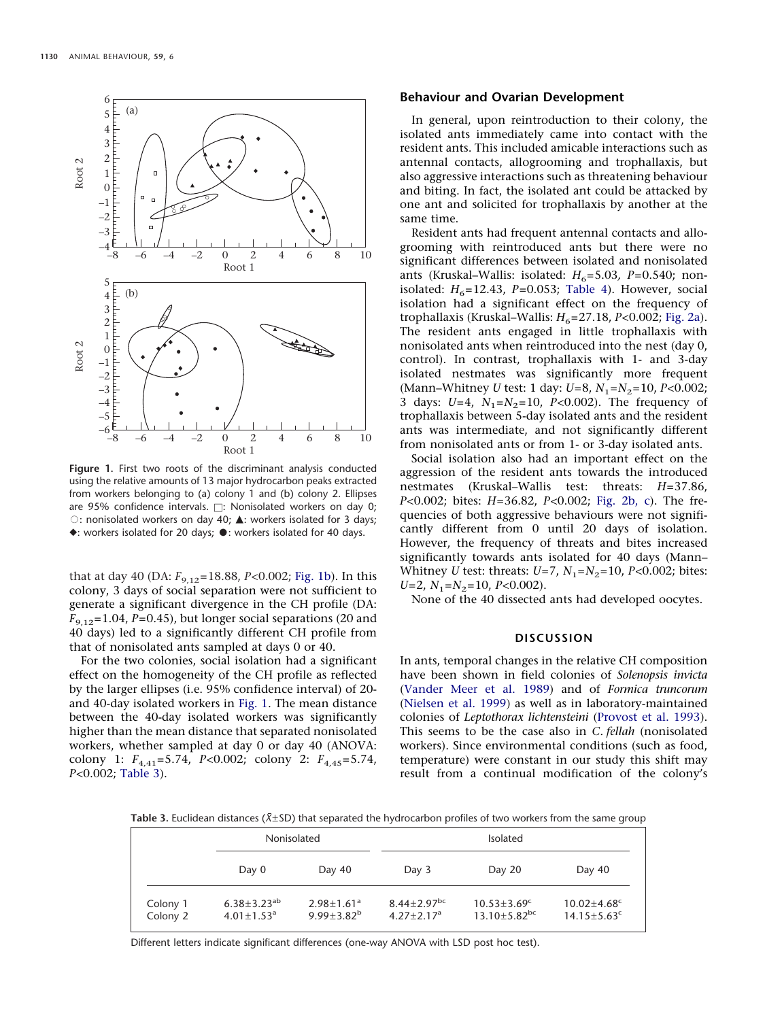<span id="page-3-0"></span>

**Figure 1.** First two roots of the discriminant analysis conducted using the relative amounts of 13 major hydrocarbon peaks extracted from workers belonging to (a) colony 1 and (b) colony 2. Ellipses are 95% confidence intervals.  $\Box$ : Nonisolated workers on day 0;  $\circ$ : nonisolated workers on day 40;  $\triangle$ : workers isolated for 3 days;  $\blacklozenge$ : workers isolated for 20 days;  $\blacklozenge$ : workers isolated for 40 days.

that at day 40 (DA:  $F_{9,12}$ =18.88, *P*<0.002; [Fig. 1b\)](#page-3-0). In this colony, 3 days of social separation were not sufficient to generate a significant divergence in the CH profile (DA:  $F_{9,12}=1.04$ ,  $P=0.45$ ), but longer social separations (20 and 40 days) led to a significantly different CH profile from that of nonisolated ants sampled at days 0 or 40.

For the two colonies, social isolation had a significant effect on the homogeneity of the CH profile as reflected by the larger ellipses (i.e. 95% confidence interval) of 20 and 40-day isolated workers in [Fig. 1.](#page-3-0) The mean distance between the 40-day isolated workers was significantly higher than the mean distance that separated nonisolated workers, whether sampled at day 0 or day 40 (ANOVA: colony 1: *F*4,41=5.74, *P<*0.002; colony 2: *F*4,45=5.74, *P<*0.002; [Table 3\)](#page-3-1).

# **Behaviour and Ovarian Development**

In general, upon reintroduction to their colony, the isolated ants immediately came into contact with the resident ants. This included amicable interactions such as antennal contacts, allogrooming and trophallaxis, but also aggressive interactions such as threatening behaviour and biting. In fact, the isolated ant could be attacked by one ant and solicited for trophallaxis by another at the same time.

Resident ants had frequent antennal contacts and allogrooming with reintroduced ants but there were no significant differences between isolated and nonisolated ants (Kruskal–Wallis: isolated:  $H_6$ =5.03, P=0.540; nonisolated:  $H_6$ =12.43,  $P$ =0.053; [Table 4\)](#page-4-0). However, social isolation had a significant effect on the frequency of trophallaxis (Kruskal–Wallis: *H*<sub>6</sub>=27.18, *P*<0.002; [Fig. 2a\)](#page-5-10). The resident ants engaged in little trophallaxis with nonisolated ants when reintroduced into the nest (day 0, control). In contrast, trophallaxis with 1- and 3-day isolated nestmates was significantly more frequent (Mann–Whitney *U* test: 1 day: *U*=8, *N*1=*N*2=10, *P<*0.002; 3 days:  $U=4$ ,  $N_1=N_2=10$ ,  $P<0.002$ ). The frequency of trophallaxis between 5-day isolated ants and the resident ants was intermediate, and not significantly different from nonisolated ants or from 1- or 3-day isolated ants.

Social isolation also had an important effect on the aggression of the resident ants towards the introduced nestmates (Kruskal–Wallis test: threats: *H*=37.86, *P<*0.002; bites: *H*=36.82, *P<*0.002; [Fig. 2b, c\)](#page-5-10). The frequencies of both aggressive behaviours were not significantly different from 0 until 20 days of isolation. However, the frequency of threats and bites increased significantly towards ants isolated for 40 days (Mann– Whitney *U* test: threats: *U*=7, *N*<sub>1</sub>=*N*<sub>2</sub>=10, *P*<0.002; bites: *U*=2,  $N_1$ = $N_2$ =10, *P*<0.002).

None of the 40 dissected ants had developed oocytes.

#### **DISCUSSION**

In ants, temporal changes in the relative CH composition have been shown in field colonies of *Solenopsis invicta* [\(Vander Meer et al. 1989\)](#page-6-12) and of *Formica truncorum* [\(Nielsen et al. 1999\)](#page-6-14) as well as in laboratory-maintained colonies of *Leptothorax lichtensteini* [\(Provost et al. 1993\)](#page-6-13). This seems to be the case also in *C. fellah* (nonisolated workers). Since environmental conditions (such as food, temperature) were constant in our study this shift may result from a continual modification of the colony's

<span id="page-3-1"></span>**Table 3.** Euclidean distances (*X*±SD) that separated the hydrocarbon profiles of two workers from the same group

|                      | Nonisolated                                          |                                                 | Isolated                                        |                                                                 |                                                                |  |
|----------------------|------------------------------------------------------|-------------------------------------------------|-------------------------------------------------|-----------------------------------------------------------------|----------------------------------------------------------------|--|
|                      | Day 0                                                | Day 40                                          | Day 3                                           | Day 20                                                          | Day 40                                                         |  |
| Colony 1<br>Colony 2 | $6.38 \pm 3.23^{ab}$<br>$4.01 \pm 1.53$ <sup>a</sup> | $2.98 \pm 1.61$ <sup>a</sup><br>$9.99 + 3.82^b$ | $8.44 \pm 2.97$ <sup>bc</sup><br>$4.27 + 2.17a$ | $10.53 \pm 3.69$ <sup>c</sup><br>$13.10 \pm 5.82$ <sup>bc</sup> | $10.02 \pm 4.68$ <sup>c</sup><br>$14.15 \pm 5.63$ <sup>c</sup> |  |

Different letters indicate significant differences (one-way ANOVA with LSD post hoc test).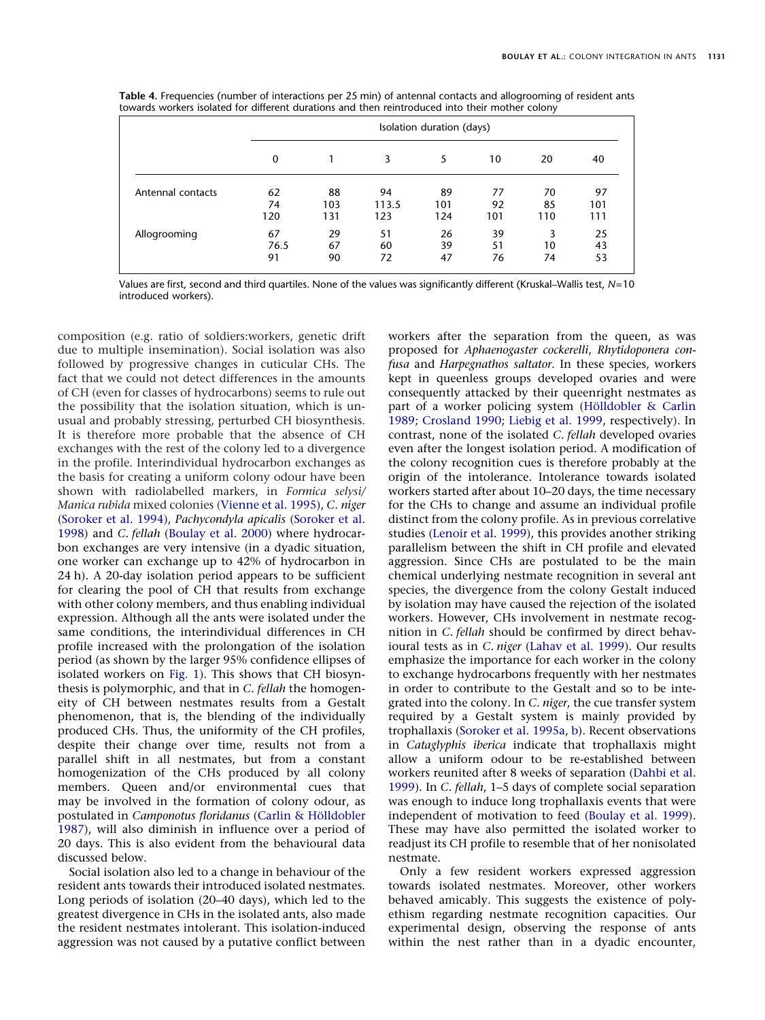<span id="page-4-0"></span>

|  | <b>Table 4.</b> Frequencies (number of interactions per 25 min) of antennal contacts and allogrooming of resident ants |  |  |  |  |
|--|------------------------------------------------------------------------------------------------------------------------|--|--|--|--|
|  | towards workers isolated for different durations and then reintroduced into their mother colony                        |  |  |  |  |

|                   |      | Isolation duration (days) |       |     |     |     |     |  |
|-------------------|------|---------------------------|-------|-----|-----|-----|-----|--|
|                   | 0    |                           | 3     | 5   | 10  | 20  | 40  |  |
| Antennal contacts | 62   | 88                        | 94    | 89  | 77  | 70  | 97  |  |
|                   | 74   | 103                       | 113.5 | 101 | 92  | 85  | 101 |  |
|                   | 120  | 131                       | 123   | 124 | 101 | 110 | 111 |  |
| Allogrooming      | 67   | 29                        | 51    | 26  | 39  | 3   | 25  |  |
|                   | 76.5 | 67                        | 60    | 39  | 51  | 10  | 43  |  |
|                   | 91   | 90                        | 72    | 47  | 76  | 74  | 53  |  |

Values are first, second and third quartiles. None of the values was significantly different (Kruskal–Wallis test, *N*=10 introduced workers).

composition (e.g. ratio of soldiers:workers, genetic drift due to multiple insemination). Social isolation was also followed by progressive changes in cuticular CHs. The fact that we could not detect differences in the amounts of CH (even for classes of hydrocarbons) seems to rule out the possibility that the isolation situation, which is unusual and probably stressing, perturbed CH biosynthesis. It is therefore more probable that the absence of CH exchanges with the rest of the colony led to a divergence in the profile. Interindividual hydrocarbon exchanges as the basis for creating a uniform colony odour have been shown with radiolabelled markers, in *Formica selysi/ Manica rubida* mixed colonies [\(Vienne et al. 1995\)](#page-6-9), *C. niger* [\(Soroker et al. 1994\)](#page-6-6), *Pachycondyla apicalis* [\(Soroker et al.](#page-6-7) [1998\)](#page-6-7) and *C. fellah* [\(Boulay et al. 2000\)](#page-5-11) where hydrocarbon exchanges are very intensive (in a dyadic situation, one worker can exchange up to 42% of hydrocarbon in 24 h). A 20-day isolation period appears to be sufficient for clearing the pool of CH that results from exchange with other colony members, and thus enabling individual expression. Although all the ants were isolated under the same conditions, the interindividual differences in CH profile increased with the prolongation of the isolation period (as shown by the larger 95% confidence ellipses of isolated workers on [Fig. 1\)](#page-3-0). This shows that CH biosynthesis is polymorphic, and that in *C. fellah* the homogeneity of CH between nestmates results from a Gestalt phenomenon, that is, the blending of the individually produced CHs. Thus, the uniformity of the CH profiles, despite their change over time, results not from a parallel shift in all nestmates, but from a constant homogenization of the CHs produced by all colony members. Queen and/or environmental cues that may be involved in the formation of colony odour, as postulated in *Camponotus floridanus* (Carlin & Hölldobler [1987\)](#page-5-3), will also diminish in influence over a period of 20 days. This is also evident from the behavioural data discussed below.

Social isolation also led to a change in behaviour of the resident ants towards their introduced isolated nestmates. Long periods of isolation (20–40 days), which led to the greatest divergence in CHs in the isolated ants, also made the resident nestmates intolerant. This isolation-induced aggression was not caused by a putative conflict between

workers after the separation from the queen, as was proposed for *Aphaenogaster cockerelli*, *Rhytidoponera confusa* and *Harpegnathos saltator*. In these species, workers kept in queenless groups developed ovaries and were consequently attacked by their queenright nestmates as part of a worker policing system (Hölldobler & Carlin [1989;](#page-6-16) [Crosland 1990;](#page-5-7) [Liebig et al. 1999,](#page-6-17) respectively). In contrast, none of the isolated *C. fellah* developed ovaries even after the longest isolation period. A modification of the colony recognition cues is therefore probably at the origin of the intolerance. Intolerance towards isolated workers started after about 10–20 days, the time necessary for the CHs to change and assume an individual profile distinct from the colony profile. As in previous correlative studies [\(Lenoir et al. 1999\)](#page-6-0), this provides another striking parallelism between the shift in CH profile and elevated aggression. Since CHs are postulated to be the main chemical underlying nestmate recognition in several ant species, the divergence from the colony Gestalt induced by isolation may have caused the rejection of the isolated workers. However, CHs involvement in nestmate recognition in *C. fellah* should be confirmed by direct behavioural tests as in *C. niger* [\(Lahav et al. 1999\)](#page-6-3). Our results emphasize the importance for each worker in the colony to exchange hydrocarbons frequently with her nestmates in order to contribute to the Gestalt and so to be integrated into the colony. In *C. niger*, the cue transfer system required by a Gestalt system is mainly provided by trophallaxis [\(Soroker et al. 1995a,](#page-6-10) [b\)](#page-6-11). Recent observations in *Cataglyphis iberica* indicate that trophallaxis might allow a uniform odour to be re-established between workers reunited after 8 weeks of separation [\(Dahbi et al.](#page-5-12) [1999\)](#page-5-12). In *C. fellah*, 1–5 days of complete social separation was enough to induce long trophallaxis events that were independent of motivation to feed [\(Boulay et al. 1999\)](#page-5-8). These may have also permitted the isolated worker to readjust its CH profile to resemble that of her nonisolated nestmate.

Only a few resident workers expressed aggression towards isolated nestmates. Moreover, other workers behaved amicably. This suggests the existence of polyethism regarding nestmate recognition capacities. Our experimental design, observing the response of ants within the nest rather than in a dyadic encounter,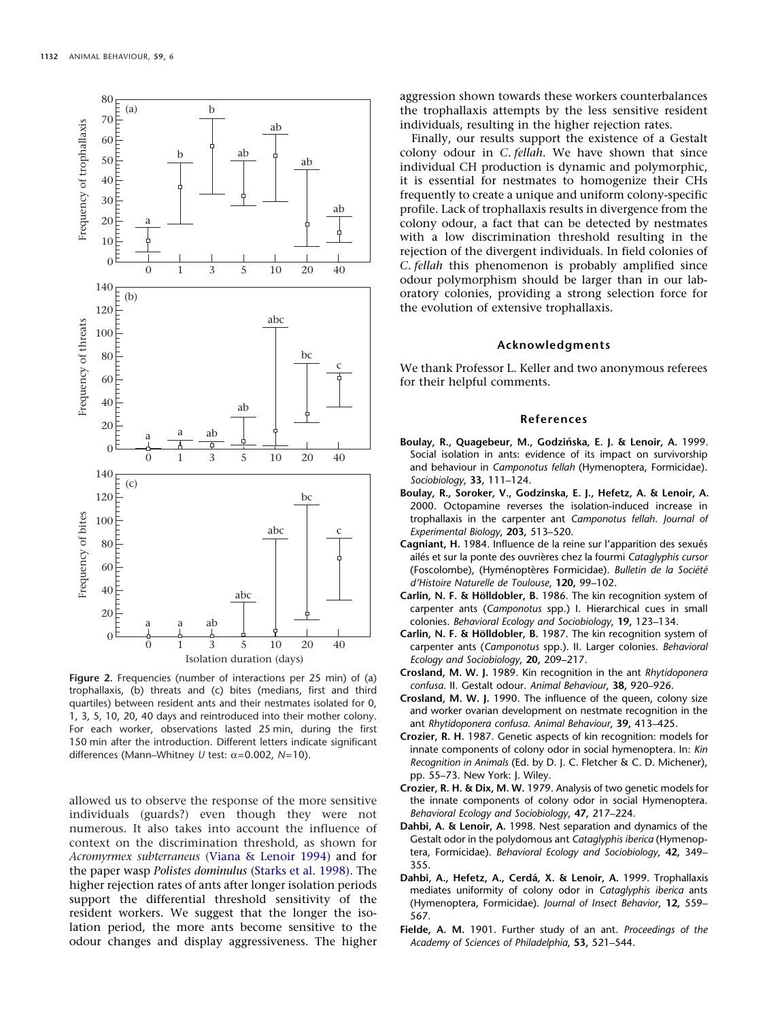<span id="page-5-10"></span>

**Figure 2.** Frequencies (number of interactions per 25 min) of (a) trophallaxis, (b) threats and (c) bites (medians, first and third quartiles) between resident ants and their nestmates isolated for 0, 1, 3, 5, 10, 20, 40 days and reintroduced into their mother colony. For each worker, observations lasted 25 min, during the first 150 min after the introduction. Different letters indicate significant differences (Mann–Whitney *U* test: α=0.002, *N*=10).

allowed us to observe the response of the more sensitive individuals (guards?) even though they were not numerous. It also takes into account the influence of context on the discrimination threshold, as shown for *Acromyrmex subterraneus* [\(Viana & Lenoir 1994\)](#page-6-18) and for the paper wasp *Polistes dominulus* [\(Starks et al. 1998\)](#page-6-19). The higher rejection rates of ants after longer isolation periods support the differential threshold sensitivity of the resident workers. We suggest that the longer the isolation period, the more ants become sensitive to the odour changes and display aggressiveness. The higher aggression shown towards these workers counterbalances the trophallaxis attempts by the less sensitive resident individuals, resulting in the higher rejection rates.

Finally, our results support the existence of a Gestalt colony odour in *C. fellah*. We have shown that since individual CH production is dynamic and polymorphic, it is essential for nestmates to homogenize their CHs frequently to create a unique and uniform colony-specific profile. Lack of trophallaxis results in divergence from the colony odour, a fact that can be detected by nestmates with a low discrimination threshold resulting in the rejection of the divergent individuals. In field colonies of *C. fellah* this phenomenon is probably amplified since odour polymorphism should be larger than in our laboratory colonies, providing a strong selection force for the evolution of extensive trophallaxis.

#### **Acknowledgments**

We thank Professor L. Keller and two anonymous referees for their helpful comments.

## **References**

- <span id="page-5-8"></span>Boulay, R., Quagebeur, M., Godzińska, E. J. & Lenoir, A. 1999. Social isolation in ants: evidence of its impact on survivorship and behaviour in *Camponotus fellah* (Hymenoptera, Formicidae). *Sociobiology*, **33,** 111–124.
- <span id="page-5-11"></span>**Boulay, R., Soroker, V., Godzinska, E. J., Hefetz, A. & Lenoir, A.** 2000. Octopamine reverses the isolation-induced increase in trophallaxis in the carpenter ant *Camponotus fellah*. *Journal of Experimental Biology*, **203,** 513–520.
- <span id="page-5-9"></span>Cagniant, H. 1984. Influence de la reine sur l'apparition des sexués ailés et sur la ponte des ouvrières chez la fourmi Cataglyphis cursor (Foscolombe), (Hyménoptères Formicidae). Bulletin de la Société *d'Histoire Naturelle de Toulouse*, **120,** 99–102.
- <span id="page-5-3"></span>**Carlin, N. F. & Hölldobler, B.** 1986. The kin recognition system of carpenter ants (*Camponotus* spp.) I. Hierarchical cues in small colonies. *Behavioral Ecology and Sociobiology*, **19,** 123–134.
- <span id="page-5-4"></span>Carlin, N. F. & Hölldobler, B. 1987. The kin recognition system of carpenter ants (*Camponotus* spp.). II. Larger colonies. *Behavioral Ecology and Sociobiology*, **20,** 209–217.
- <span id="page-5-5"></span>**Crosland, M. W. J.** 1989. Kin recognition in the ant *Rhytidoponera confusa*. II. Gestalt odour. *Animal Behaviour*, **38,** 920–926.
- <span id="page-5-7"></span>**Crosland, M. W. J.** 1990. The influence of the queen, colony size and worker ovarian development on nestmate recognition in the ant *Rhytidoponera confusa*. *Animal Behaviour*, **39,** 413–425.
- <span id="page-5-1"></span>**Crozier, R. H.** 1987. Genetic aspects of kin recognition: models for innate components of colony odor in social hymenoptera. In: *Kin Recognition in Animals* (Ed. by D. J. C. Fletcher & C. D. Michener), pp. 55–73. New York: J. Wiley.
- <span id="page-5-2"></span>**Crozier, R. H. & Dix, M. W.** 1979. Analysis of two genetic models for the innate components of colony odor in social Hymenoptera. *Behavioral Ecology and Sociobiology*, **47,** 217–224.
- <span id="page-5-6"></span>**Dahbi, A. & Lenoir, A.** 1998. Nest separation and dynamics of the Gestalt odor in the polydomous ant *Cataglyphis iberica* (Hymenoptera, Formicidae). *Behavioral Ecology and Sociobiology*, **42,** 349– 355.
- <span id="page-5-12"></span>Dahbi, A., Hefetz, A., Cerdá, X. & Lenoir, A. 1999. Trophallaxis mediates uniformity of colony odor in *Cataglyphis iberica* ants (Hymenoptera, Formicidae). *Journal of Insect Behavior*, **12,** 559– 567.
- <span id="page-5-0"></span>**Fielde, A. M.** 1901. Further study of an ant. *Proceedings of the Academy of Sciences of Philadelphia*, **53,** 521–544.